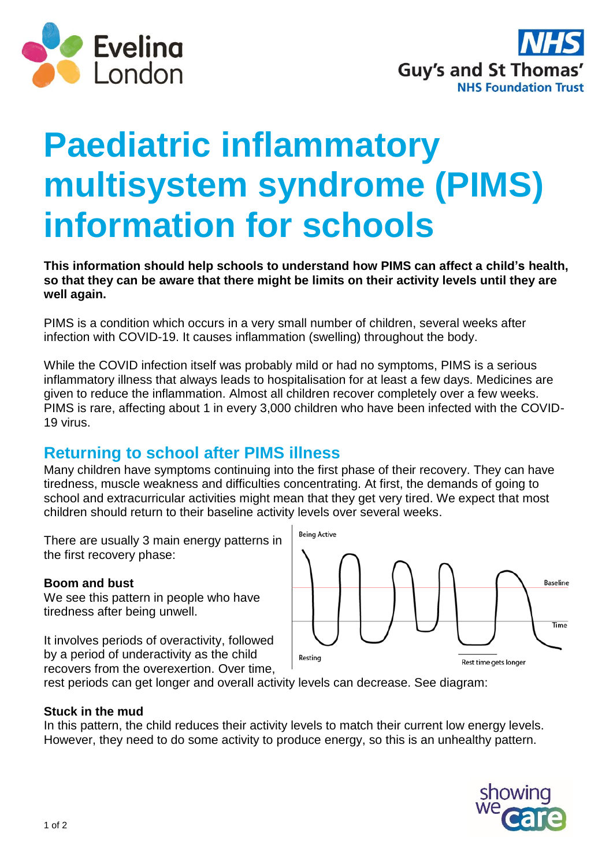



# **Paediatric inflammatory multisystem syndrome (PIMS) information for schools**

**This information should help schools to understand how PIMS can affect a child's health, so that they can be aware that there might be limits on their activity levels until they are well again.**

PIMS is a condition which occurs in a very small number of children, several weeks after infection with COVID-19. It causes inflammation (swelling) throughout the body.

While the COVID infection itself was probably mild or had no symptoms, PIMS is a serious inflammatory illness that always leads to hospitalisation for at least a few days. Medicines are given to reduce the inflammation. Almost all children recover completely over a few weeks. PIMS is rare, affecting about 1 in every 3,000 children who have been infected with the COVID-19 virus.

# **Returning to school after PIMS illness**

Many children have symptoms continuing into the first phase of their recovery. They can have tiredness, muscle weakness and difficulties concentrating. At first, the demands of going to school and extracurricular activities might mean that they get very tired. We expect that most children should return to their baseline activity levels over several weeks.

There are usually 3 main energy patterns in the first recovery phase:

## **Boom and bust**

We see this pattern in people who have tiredness after being unwell.

It involves periods of overactivity, followed by a period of underactivity as the child recovers from the overexertion. Over time,



rest periods can get longer and overall activity levels can decrease. See diagram:

#### **Stuck in the mud**

In this pattern, the child reduces their activity levels to match their current low energy levels. However, they need to do some activity to produce energy, so this is an unhealthy pattern.